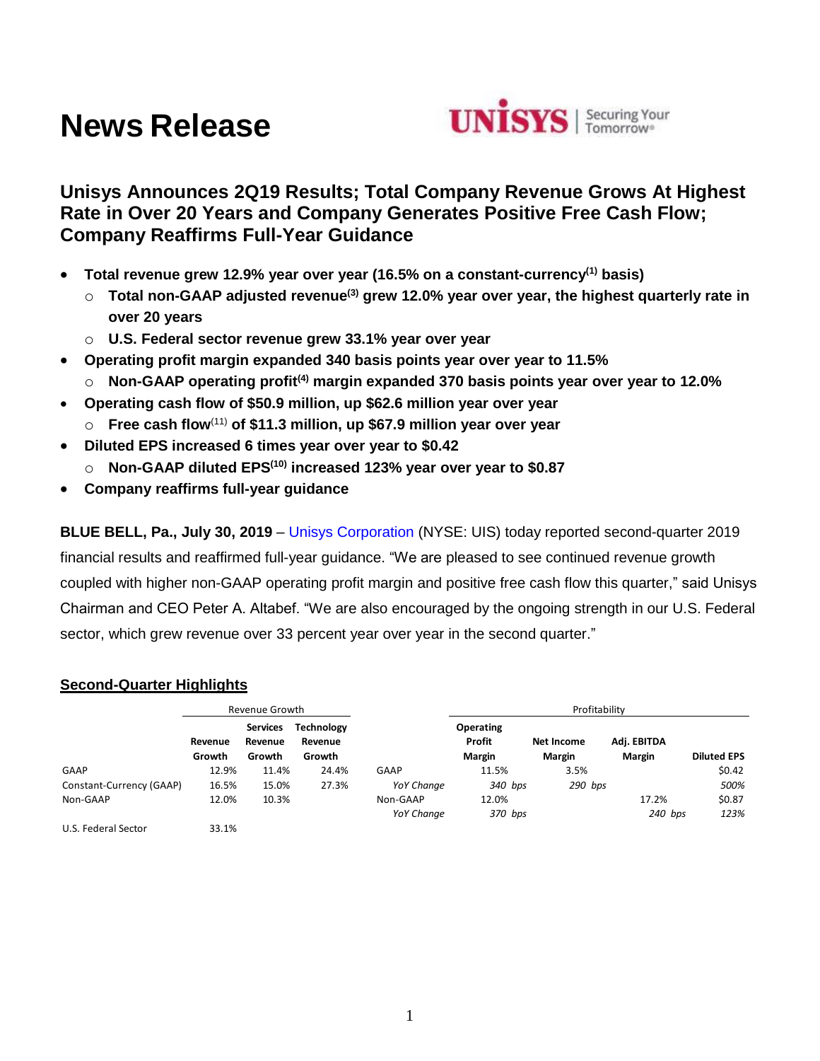# **News Release**



## **Unisys Announces 2Q19 Results; Total Company Revenue Grows At Highest Rate in Over 20 Years and Company Generates Positive Free Cash Flow; Company Reaffirms Full-Year Guidance**

- **Total revenue grew 12.9% year over year (16.5% on a constant-currency(1) basis)**
	- o **Total non-GAAP adjusted revenue(3) grew 12.0% year over year, the highest quarterly rate in over 20 years**
	- o **U.S. Federal sector revenue grew 33.1% year over year**
- **Operating profit margin expanded 340 basis points year over year to 11.5%**
	- o **Non-GAAP operating profit(4) margin expanded 370 basis points year over year to 12.0%**
- **Operating cash flow of \$50.9 million, up \$62.6 million year over year**
	- o **Free cash flow**(11) **of \$11.3 million, up \$67.9 million year over year**
- **Diluted EPS increased 6 times year over year to \$0.42**
	- o **Non-GAAP diluted EPS(10) increased 123% year over year to \$0.87**
- **Company reaffirms full-year guidance**

**BLUE BELL, Pa., July 30, 2019** – [Unisys Corporation](http://www.unisys.com/) (NYSE: UIS) today reported second-quarter 2019 financial results and reaffirmed full-year guidance. "We are pleased to see continued revenue growth coupled with higher non-GAAP operating profit margin and positive free cash flow this quarter," said Unisys Chairman and CEO Peter A. Altabef. "We are also encouraged by the ongoing strength in our U.S. Federal sector, which grew revenue over 33 percent year over year in the second quarter."

## **Second-Quarter Highlights**

|                          |                   | Revenue Growth                       |                                        |                   | Profitability                        |                             |                              |                    |  |  |
|--------------------------|-------------------|--------------------------------------|----------------------------------------|-------------------|--------------------------------------|-----------------------------|------------------------------|--------------------|--|--|
|                          | Revenue<br>Growth | <b>Services</b><br>Revenue<br>Growth | <b>Technology</b><br>Revenue<br>Growth |                   | Operating<br><b>Profit</b><br>Margin | Net Income<br><b>Margin</b> | Adj. EBITDA<br><b>Margin</b> | <b>Diluted EPS</b> |  |  |
| GAAP                     | 12.9%             | 11.4%                                | 24.4%                                  | GAAP              | 11.5%                                | 3.5%                        |                              | \$0.42             |  |  |
| Constant-Currency (GAAP) | 16.5%             | 15.0%                                | 27.3%                                  | <b>YoY Change</b> | 340 bps                              | 290 bps                     |                              | 500%               |  |  |
| Non-GAAP                 | 12.0%             | 10.3%                                |                                        | Non-GAAP          | 12.0%                                |                             | 17.2%                        | \$0.87             |  |  |
|                          |                   |                                      |                                        | <b>YoY Change</b> | 370 bps                              |                             | $240$ bps                    | 123%               |  |  |
| U.S. Federal Sector      | 33.1%             |                                      |                                        |                   |                                      |                             |                              |                    |  |  |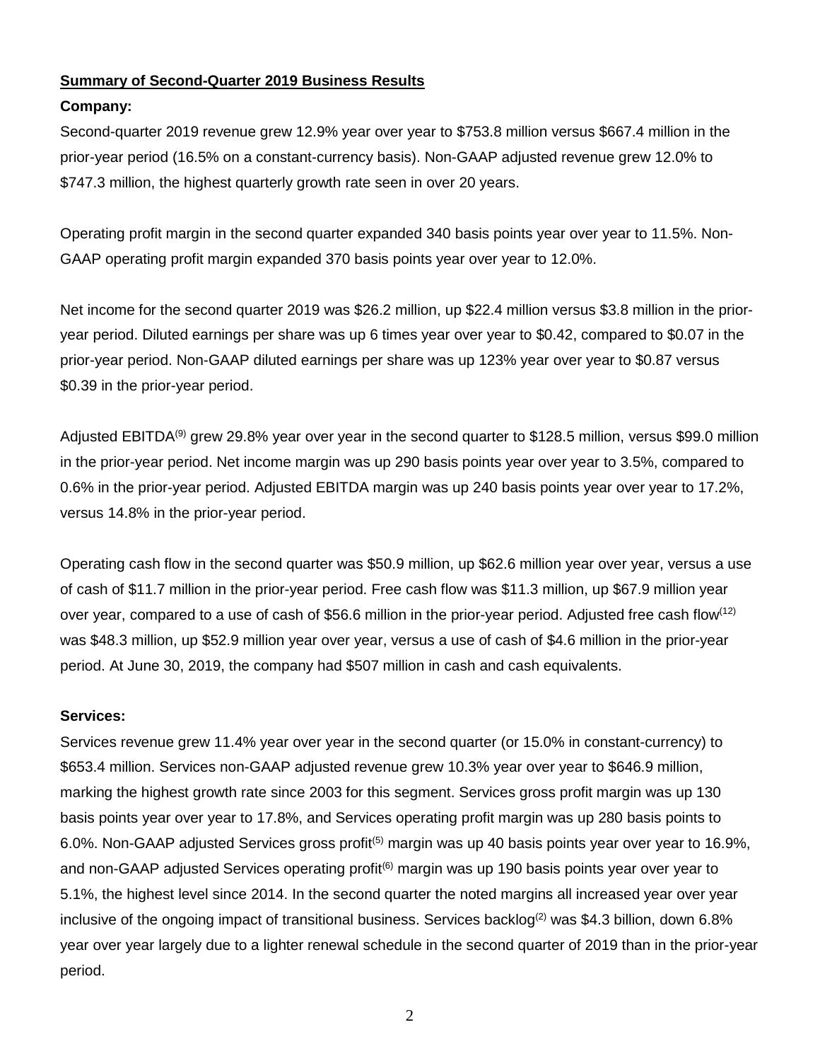## **Summary of Second-Quarter 2019 Business Results**

## **Company:**

Second-quarter 2019 revenue grew 12.9% year over year to \$753.8 million versus \$667.4 million in the prior-year period (16.5% on a constant-currency basis). Non-GAAP adjusted revenue grew 12.0% to \$747.3 million, the highest quarterly growth rate seen in over 20 years.

Operating profit margin in the second quarter expanded 340 basis points year over year to 11.5%. Non-GAAP operating profit margin expanded 370 basis points year over year to 12.0%.

Net income for the second quarter 2019 was \$26.2 million, up \$22.4 million versus \$3.8 million in the prioryear period. Diluted earnings per share was up 6 times year over year to \$0.42, compared to \$0.07 in the prior-year period. Non-GAAP diluted earnings per share was up 123% year over year to \$0.87 versus \$0.39 in the prior-year period.

Adjusted EBITDA<sup>(9)</sup> grew 29.8% year over year in the second quarter to \$128.5 million, versus \$99.0 million in the prior-year period. Net income margin was up 290 basis points year over year to 3.5%, compared to 0.6% in the prior-year period. Adjusted EBITDA margin was up 240 basis points year over year to 17.2%, versus 14.8% in the prior-year period.

Operating cash flow in the second quarter was \$50.9 million, up \$62.6 million year over year, versus a use of cash of \$11.7 million in the prior-year period. Free cash flow was \$11.3 million, up \$67.9 million year over year, compared to a use of cash of \$56.6 million in the prior-year period. Adjusted free cash flow<sup>(12)</sup> was \$48.3 million, up \$52.9 million year over year, versus a use of cash of \$4.6 million in the prior-year period. At June 30, 2019, the company had \$507 million in cash and cash equivalents.

## **Services:**

Services revenue grew 11.4% year over year in the second quarter (or 15.0% in constant-currency) to \$653.4 million. Services non-GAAP adjusted revenue grew 10.3% year over year to \$646.9 million, marking the highest growth rate since 2003 for this segment. Services gross profit margin was up 130 basis points year over year to 17.8%, and Services operating profit margin was up 280 basis points to 6.0%. Non-GAAP adjusted Services gross profit<sup>(5)</sup> margin was up 40 basis points year over year to 16.9%, and non-GAAP adjusted Services operating profit<sup>(6)</sup> margin was up 190 basis points year over year to 5.1%, the highest level since 2014. In the second quarter the noted margins all increased year over year inclusive of the ongoing impact of transitional business. Services backlog<sup>(2)</sup> was \$4.3 billion, down 6.8% year over year largely due to a lighter renewal schedule in the second quarter of 2019 than in the prior-year period.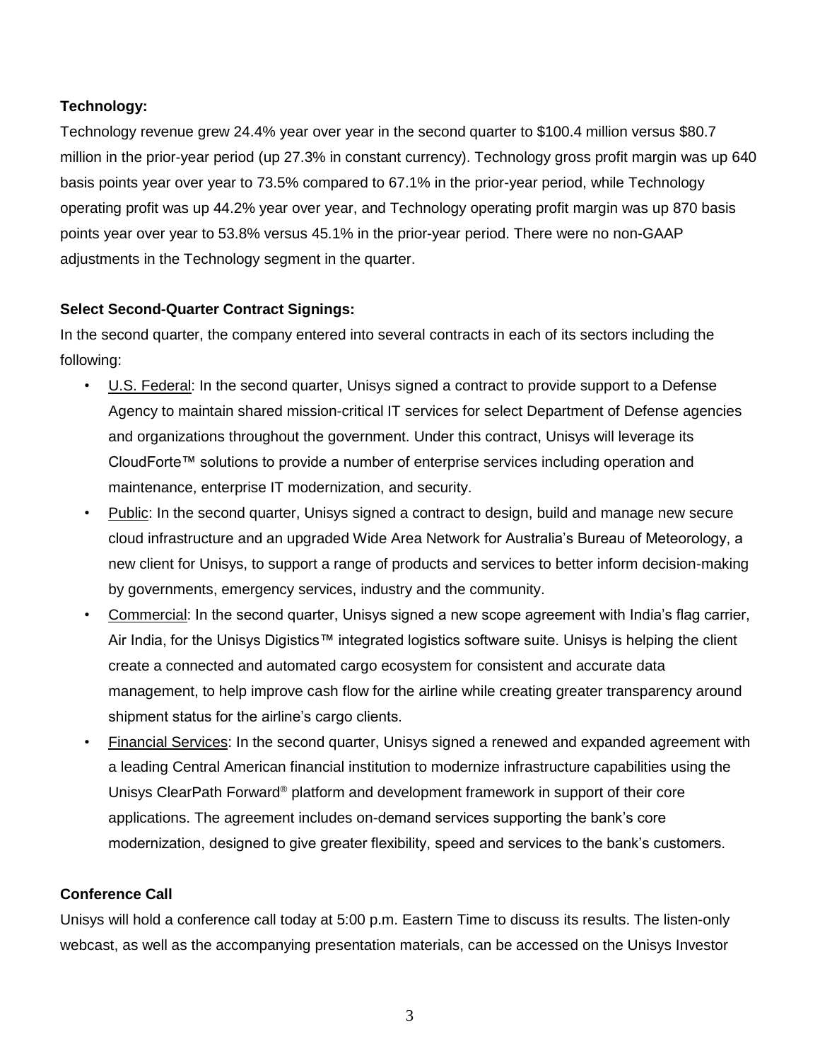## **Technology:**

Technology revenue grew 24.4% year over year in the second quarter to \$100.4 million versus \$80.7 million in the prior-year period (up 27.3% in constant currency). Technology gross profit margin was up 640 basis points year over year to 73.5% compared to 67.1% in the prior-year period, while Technology operating profit was up 44.2% year over year, and Technology operating profit margin was up 870 basis points year over year to 53.8% versus 45.1% in the prior-year period. There were no non-GAAP adjustments in the Technology segment in the quarter.

## **Select Second-Quarter Contract Signings:**

In the second quarter, the company entered into several contracts in each of its sectors including the following:

- U.S. Federal: In the second quarter, Unisys signed a contract to provide support to a Defense Agency to maintain shared mission-critical IT services for select Department of Defense agencies and organizations throughout the government. Under this contract, Unisys will leverage its CloudForte™ solutions to provide a number of enterprise services including operation and maintenance, enterprise IT modernization, and security.
- Public: In the second quarter, Unisys signed a contract to design, build and manage new secure cloud infrastructure and an upgraded Wide Area Network for Australia's Bureau of Meteorology, a new client for Unisys, to support a range of products and services to better inform decision-making by governments, emergency services, industry and the community.
- Commercial: In the second quarter, Unisys signed a new scope agreement with India's flag carrier, Air India, for the Unisys Digistics™ integrated logistics software suite. Unisys is helping the client create a connected and automated cargo ecosystem for consistent and accurate data management, to help improve cash flow for the airline while creating greater transparency around shipment status for the airline's cargo clients.
- Financial Services: In the second quarter, Unisys signed a renewed and expanded agreement with a leading Central American financial institution to modernize infrastructure capabilities using the Unisys ClearPath Forward® platform and development framework in support of their core applications. The agreement includes on-demand services supporting the bank's core modernization, designed to give greater flexibility, speed and services to the bank's customers.

## **Conference Call**

Unisys will hold a conference call today at 5:00 p.m. Eastern Time to discuss its results. The listen-only webcast, as well as the accompanying presentation materials, can be accessed on the Unisys Investor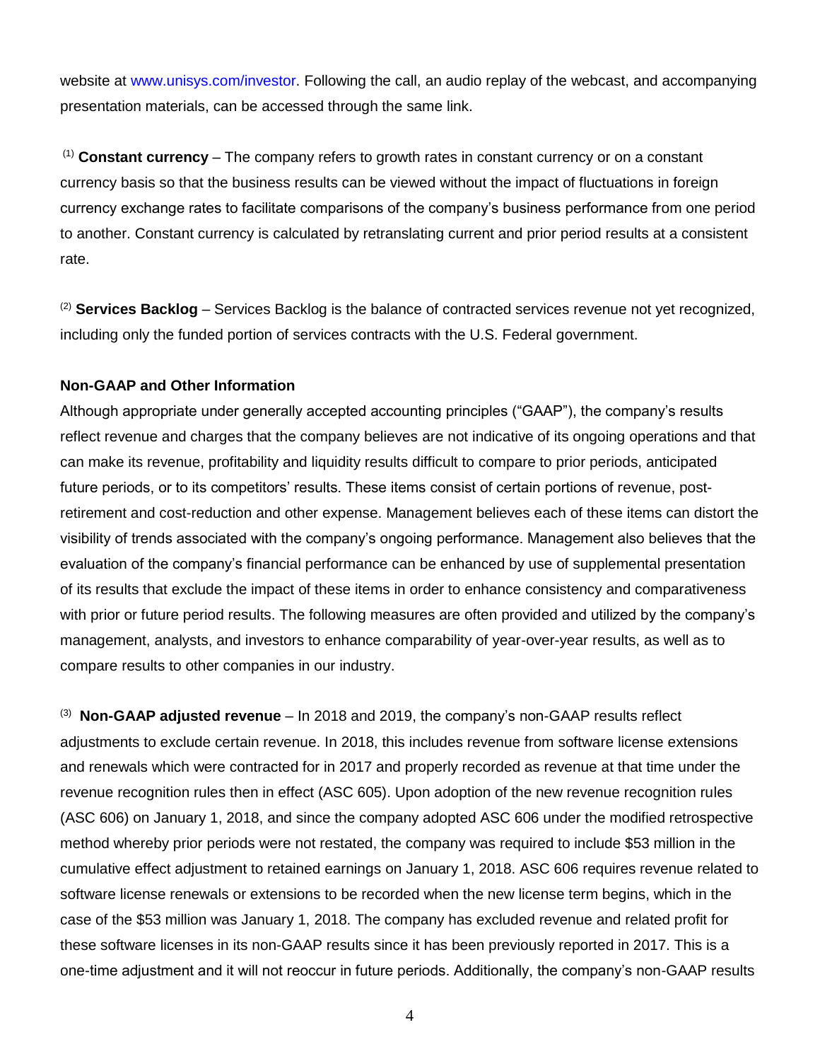website at [www.unisys.com/investor.](http://www.unisys.com/investor) Following the call, an audio replay of the webcast, and accompanying presentation materials, can be accessed through the same link.

(1) **Constant currency** – The company refers to growth rates in constant currency or on a constant currency basis so that the business results can be viewed without the impact of fluctuations in foreign currency exchange rates to facilitate comparisons of the company's business performance from one period to another. Constant currency is calculated by retranslating current and prior period results at a consistent rate.

(2) **Services Backlog** – Services Backlog is the balance of contracted services revenue not yet recognized, including only the funded portion of services contracts with the U.S. Federal government.

#### **Non-GAAP and Other Information**

Although appropriate under generally accepted accounting principles ("GAAP"), the company's results reflect revenue and charges that the company believes are not indicative of its ongoing operations and that can make its revenue, profitability and liquidity results difficult to compare to prior periods, anticipated future periods, or to its competitors' results. These items consist of certain portions of revenue, postretirement and cost-reduction and other expense. Management believes each of these items can distort the visibility of trends associated with the company's ongoing performance. Management also believes that the evaluation of the company's financial performance can be enhanced by use of supplemental presentation of its results that exclude the impact of these items in order to enhance consistency and comparativeness with prior or future period results. The following measures are often provided and utilized by the company's management, analysts, and investors to enhance comparability of year-over-year results, as well as to compare results to other companies in our industry.

<sup>(3)</sup> Non-GAAP adjusted revenue – In 2018 and 2019, the company's non-GAAP results reflect adjustments to exclude certain revenue. In 2018, this includes revenue from software license extensions and renewals which were contracted for in 2017 and properly recorded as revenue at that time under the revenue recognition rules then in effect (ASC 605). Upon adoption of the new revenue recognition rules (ASC 606) on January 1, 2018, and since the company adopted ASC 606 under the modified retrospective method whereby prior periods were not restated, the company was required to include \$53 million in the cumulative effect adjustment to retained earnings on January 1, 2018. ASC 606 requires revenue related to software license renewals or extensions to be recorded when the new license term begins, which in the case of the \$53 million was January 1, 2018. The company has excluded revenue and related profit for these software licenses in its non-GAAP results since it has been previously reported in 2017. This is a one-time adjustment and it will not reoccur in future periods. Additionally, the company's non-GAAP results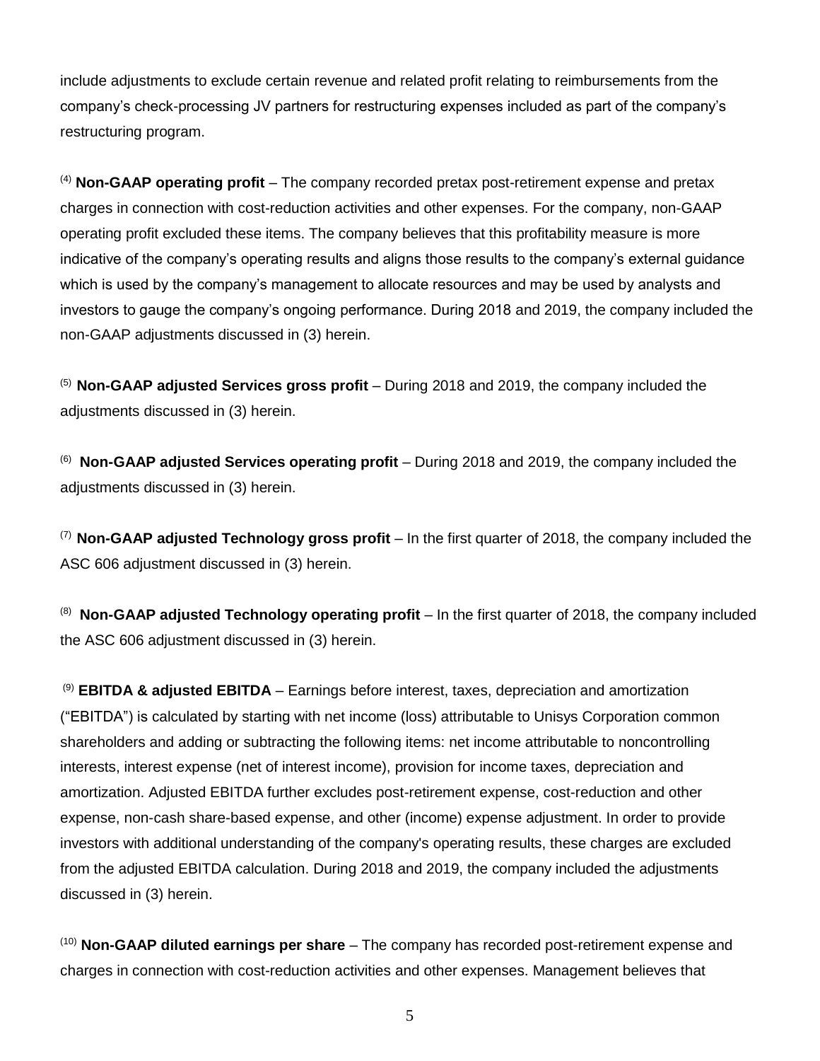include adjustments to exclude certain revenue and related profit relating to reimbursements from the company's check-processing JV partners for restructuring expenses included as part of the company's restructuring program.

(4) **Non-GAAP operating profit** – The company recorded pretax post-retirement expense and pretax charges in connection with cost-reduction activities and other expenses. For the company, non-GAAP operating profit excluded these items. The company believes that this profitability measure is more indicative of the company's operating results and aligns those results to the company's external guidance which is used by the company's management to allocate resources and may be used by analysts and investors to gauge the company's ongoing performance. During 2018 and 2019, the company included the non-GAAP adjustments discussed in (3) herein.

(5) **Non-GAAP adjusted Services gross profit** – During 2018 and 2019, the company included the adjustments discussed in (3) herein.

(6) **Non-GAAP adjusted Services operating profit** – During 2018 and 2019, the company included the adjustments discussed in (3) herein.

(7) **Non-GAAP adjusted Technology gross profit** – In the first quarter of 2018, the company included the ASC 606 adjustment discussed in (3) herein.

(8) **Non-GAAP adjusted Technology operating profit** – In the first quarter of 2018, the company included the ASC 606 adjustment discussed in (3) herein.

(9) **EBITDA & adjusted EBITDA** – Earnings before interest, taxes, depreciation and amortization ("EBITDA") is calculated by starting with net income (loss) attributable to Unisys Corporation common shareholders and adding or subtracting the following items: net income attributable to noncontrolling interests, interest expense (net of interest income), provision for income taxes, depreciation and amortization. Adjusted EBITDA further excludes post-retirement expense, cost-reduction and other expense, non-cash share-based expense, and other (income) expense adjustment. In order to provide investors with additional understanding of the company's operating results, these charges are excluded from the adjusted EBITDA calculation. During 2018 and 2019, the company included the adjustments discussed in (3) herein.

(10) **Non-GAAP diluted earnings per share** – The company has recorded post-retirement expense and charges in connection with cost-reduction activities and other expenses. Management believes that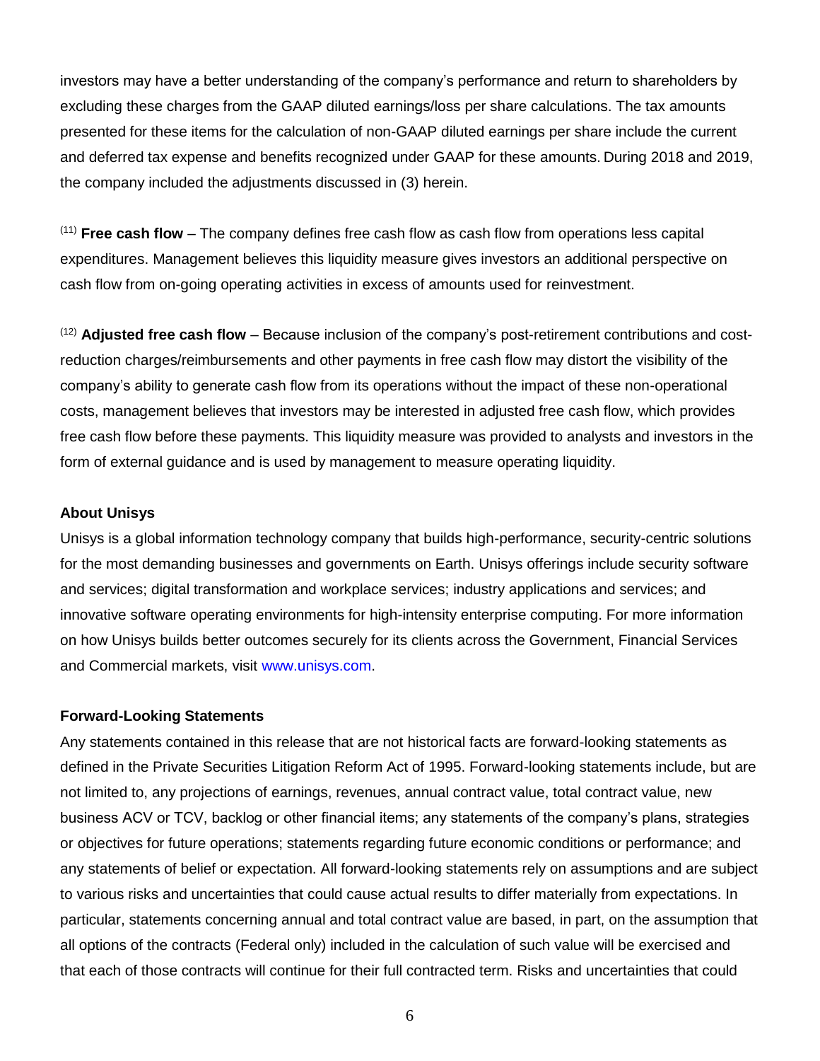investors may have a better understanding of the company's performance and return to shareholders by excluding these charges from the GAAP diluted earnings/loss per share calculations. The tax amounts presented for these items for the calculation of non-GAAP diluted earnings per share include the current and deferred tax expense and benefits recognized under GAAP for these amounts. During 2018 and 2019, the company included the adjustments discussed in (3) herein.

(11) **Free cash flow** – The company defines free cash flow as cash flow from operations less capital expenditures. Management believes this liquidity measure gives investors an additional perspective on cash flow from on-going operating activities in excess of amounts used for reinvestment.

(12) **Adjusted free cash flow** – Because inclusion of the company's post-retirement contributions and costreduction charges/reimbursements and other payments in free cash flow may distort the visibility of the company's ability to generate cash flow from its operations without the impact of these non-operational costs, management believes that investors may be interested in adjusted free cash flow, which provides free cash flow before these payments. This liquidity measure was provided to analysts and investors in the form of external guidance and is used by management to measure operating liquidity.

#### **About Unisys**

Unisys is a global information technology company that builds high-performance, security-centric solutions for the most demanding businesses and governments on Earth. Unisys offerings include security software and services; digital transformation and workplace services; industry applications and services; and innovative software operating environments for high-intensity enterprise computing. For more information on how Unisys builds better outcomes securely for its clients across the Government, Financial Services and Commercial markets, visit [www.unisys.com.](http://www.unisys.com/)

#### **Forward-Looking Statements**

Any statements contained in this release that are not historical facts are forward-looking statements as defined in the Private Securities Litigation Reform Act of 1995. Forward-looking statements include, but are not limited to, any projections of earnings, revenues, annual contract value, total contract value, new business ACV or TCV, backlog or other financial items; any statements of the company's plans, strategies or objectives for future operations; statements regarding future economic conditions or performance; and any statements of belief or expectation. All forward-looking statements rely on assumptions and are subject to various risks and uncertainties that could cause actual results to differ materially from expectations. In particular, statements concerning annual and total contract value are based, in part, on the assumption that all options of the contracts (Federal only) included in the calculation of such value will be exercised and that each of those contracts will continue for their full contracted term. Risks and uncertainties that could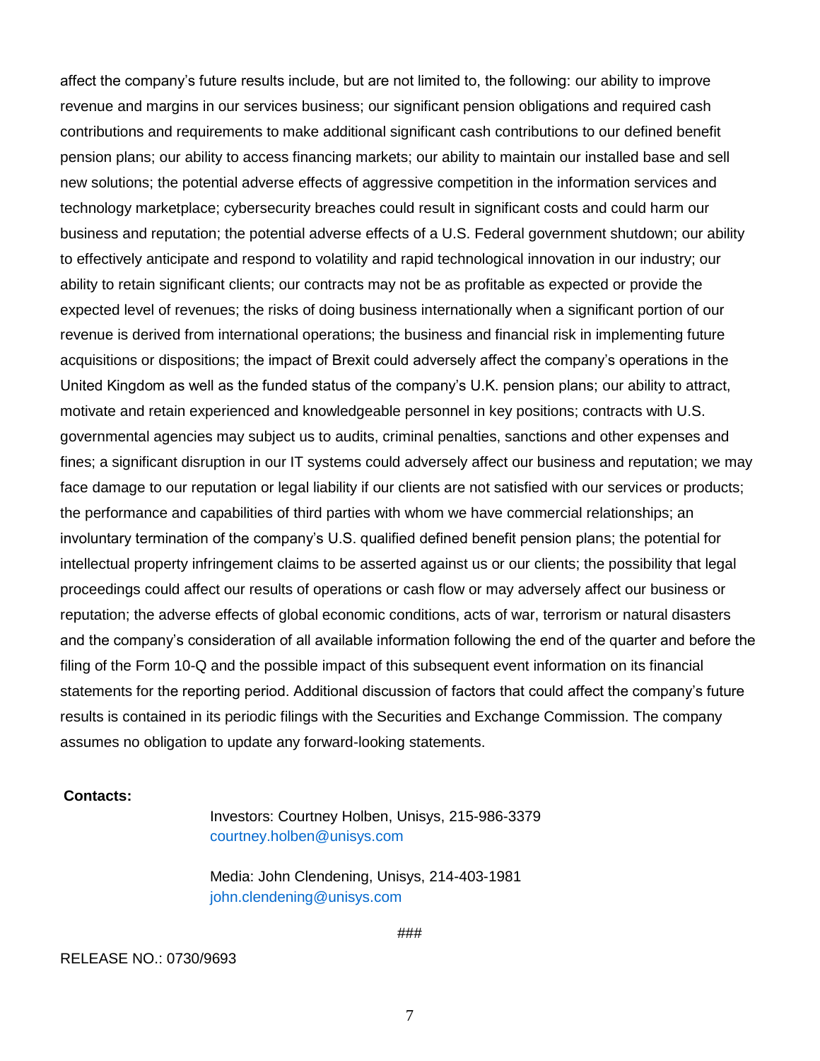affect the company's future results include, but are not limited to, the following: our ability to improve revenue and margins in our services business; our significant pension obligations and required cash contributions and requirements to make additional significant cash contributions to our defined benefit pension plans; our ability to access financing markets; our ability to maintain our installed base and sell new solutions; the potential adverse effects of aggressive competition in the information services and technology marketplace; cybersecurity breaches could result in significant costs and could harm our business and reputation; the potential adverse effects of a U.S. Federal government shutdown; our ability to effectively anticipate and respond to volatility and rapid technological innovation in our industry; our ability to retain significant clients; our contracts may not be as profitable as expected or provide the expected level of revenues; the risks of doing business internationally when a significant portion of our revenue is derived from international operations; the business and financial risk in implementing future acquisitions or dispositions; the impact of Brexit could adversely affect the company's operations in the United Kingdom as well as the funded status of the company's U.K. pension plans; our ability to attract, motivate and retain experienced and knowledgeable personnel in key positions; contracts with U.S. governmental agencies may subject us to audits, criminal penalties, sanctions and other expenses and fines; a significant disruption in our IT systems could adversely affect our business and reputation; we may face damage to our reputation or legal liability if our clients are not satisfied with our services or products; the performance and capabilities of third parties with whom we have commercial relationships; an involuntary termination of the company's U.S. qualified defined benefit pension plans; the potential for intellectual property infringement claims to be asserted against us or our clients; the possibility that legal proceedings could affect our results of operations or cash flow or may adversely affect our business or reputation; the adverse effects of global economic conditions, acts of war, terrorism or natural disasters and the company's consideration of all available information following the end of the quarter and before the filing of the Form 10-Q and the possible impact of this subsequent event information on its financial statements for the reporting period. Additional discussion of factors that could affect the company's future results is contained in its periodic filings with the Securities and Exchange Commission. The company assumes no obligation to update any forward-looking statements.

#### **Contacts:**

Investors: Courtney Holben, Unisys, 215-986-3379 courtney.holben@unisys.com

Media: John Clendening, Unisys, 214-403-1981 john.clendening@unisys.com

###

#### RELEASE NO.: 0730/9693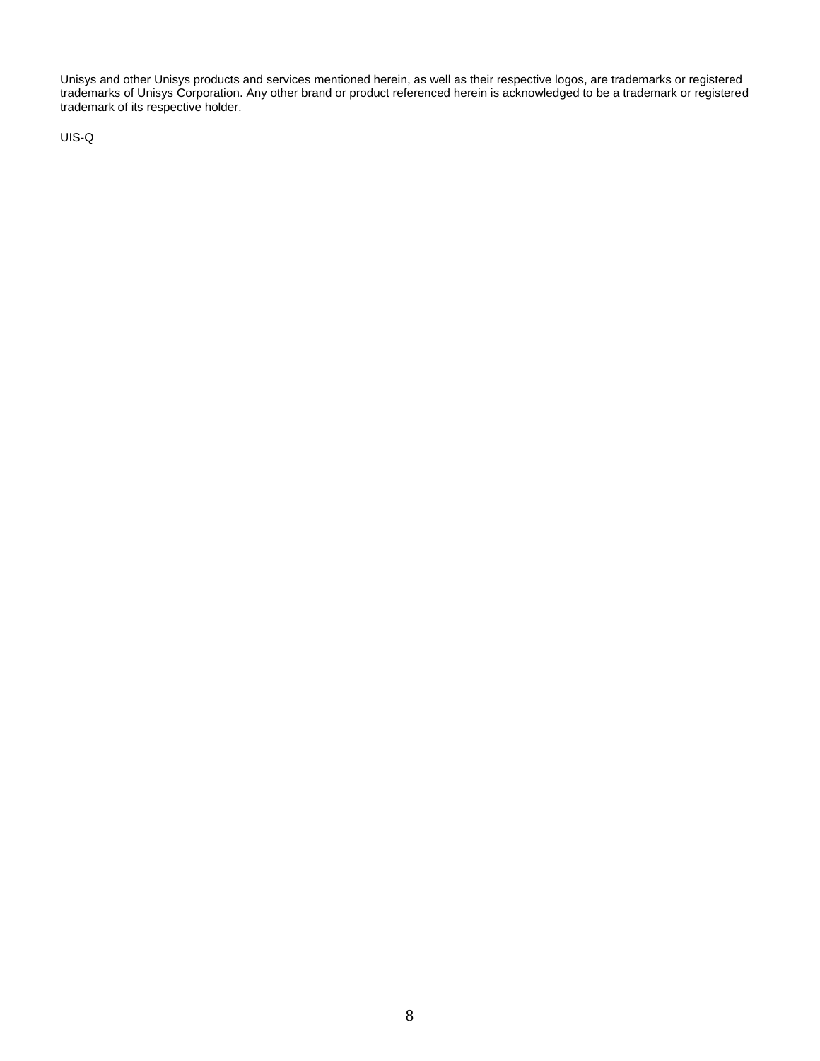Unisys and other Unisys products and services mentioned herein, as well as their respective logos, are trademarks or registered trademarks of Unisys Corporation. Any other brand or product referenced herein is acknowledged to be a trademark or registered trademark of its respective holder.

UIS-Q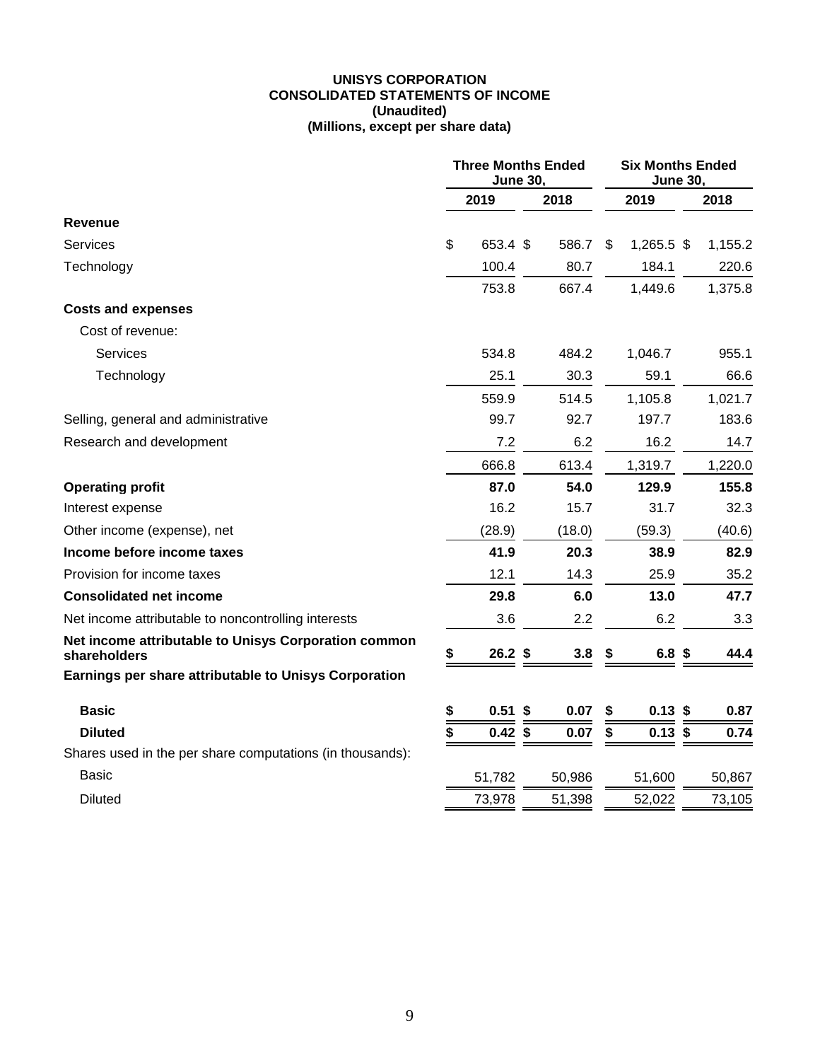#### **UNISYS CORPORATION CONSOLIDATED STATEMENTS OF INCOME (Unaudited) (Millions, except per share data)**

|                                                                      | <b>Three Months Ended</b><br><b>June 30.</b> |           |        |     | <b>Six Months Ended</b><br><b>June 30.</b> |                   |  |         |
|----------------------------------------------------------------------|----------------------------------------------|-----------|--------|-----|--------------------------------------------|-------------------|--|---------|
|                                                                      |                                              | 2019      | 2018   |     |                                            | 2019              |  | 2018    |
| Revenue                                                              |                                              |           |        |     |                                            |                   |  |         |
| <b>Services</b>                                                      | \$                                           | 653.4 \$  | 586.7  |     | \$                                         | $1,265.5$ \$      |  | 1,155.2 |
| Technology                                                           |                                              | 100.4     | 80.7   |     |                                            | 184.1             |  | 220.6   |
|                                                                      |                                              | 753.8     | 667.4  |     |                                            | 1,449.6           |  | 1,375.8 |
| <b>Costs and expenses</b>                                            |                                              |           |        |     |                                            |                   |  |         |
| Cost of revenue:                                                     |                                              |           |        |     |                                            |                   |  |         |
| Services                                                             |                                              | 534.8     | 484.2  |     |                                            | 1,046.7           |  | 955.1   |
| Technology                                                           |                                              | 25.1      | 30.3   |     |                                            | 59.1              |  | 66.6    |
|                                                                      |                                              | 559.9     | 514.5  |     |                                            | 1,105.8           |  | 1,021.7 |
| Selling, general and administrative                                  |                                              | 99.7      | 92.7   |     |                                            | 197.7             |  | 183.6   |
| Research and development                                             |                                              | 7.2       |        | 6.2 |                                            | 16.2              |  | 14.7    |
|                                                                      |                                              | 666.8     | 613.4  |     |                                            | 1,319.7           |  | 1,220.0 |
| <b>Operating profit</b>                                              |                                              | 87.0      | 54.0   |     |                                            | 129.9             |  | 155.8   |
| Interest expense                                                     |                                              | 16.2      | 15.7   |     |                                            | 31.7              |  | 32.3    |
| Other income (expense), net                                          |                                              | (28.9)    | (18.0) |     |                                            | (59.3)            |  | (40.6)  |
| Income before income taxes                                           |                                              | 41.9      | 20.3   |     |                                            | 38.9              |  | 82.9    |
| Provision for income taxes                                           |                                              | 12.1      | 14.3   |     |                                            | 25.9              |  | 35.2    |
| <b>Consolidated net income</b>                                       |                                              | 29.8      |        | 6.0 |                                            | 13.0              |  | 47.7    |
| Net income attributable to noncontrolling interests                  |                                              | 3.6       |        | 2.2 |                                            | 6.2               |  | 3.3     |
| Net income attributable to Unisys Corporation common<br>shareholders | \$                                           | $26.2$ \$ |        | 3.8 | 5                                          | 6.8 <sup>\$</sup> |  | 44.4    |
| Earnings per share attributable to Unisys Corporation                |                                              |           |        |     |                                            |                   |  |         |
| <b>Basic</b>                                                         | \$                                           | $0.51$ \$ | 0.07   |     | \$                                         | $0.13$ \$         |  | 0.87    |
| <b>Diluted</b>                                                       | \$                                           | $0.42$ \$ | 0.07   |     | \$                                         | $0.13$ \$         |  | 0.74    |
| Shares used in the per share computations (in thousands):            |                                              |           |        |     |                                            |                   |  |         |
| Basic                                                                |                                              | 51,782    | 50,986 |     |                                            | 51,600            |  | 50,867  |
| <b>Diluted</b>                                                       |                                              | 73,978    | 51,398 |     |                                            | 52,022            |  | 73,105  |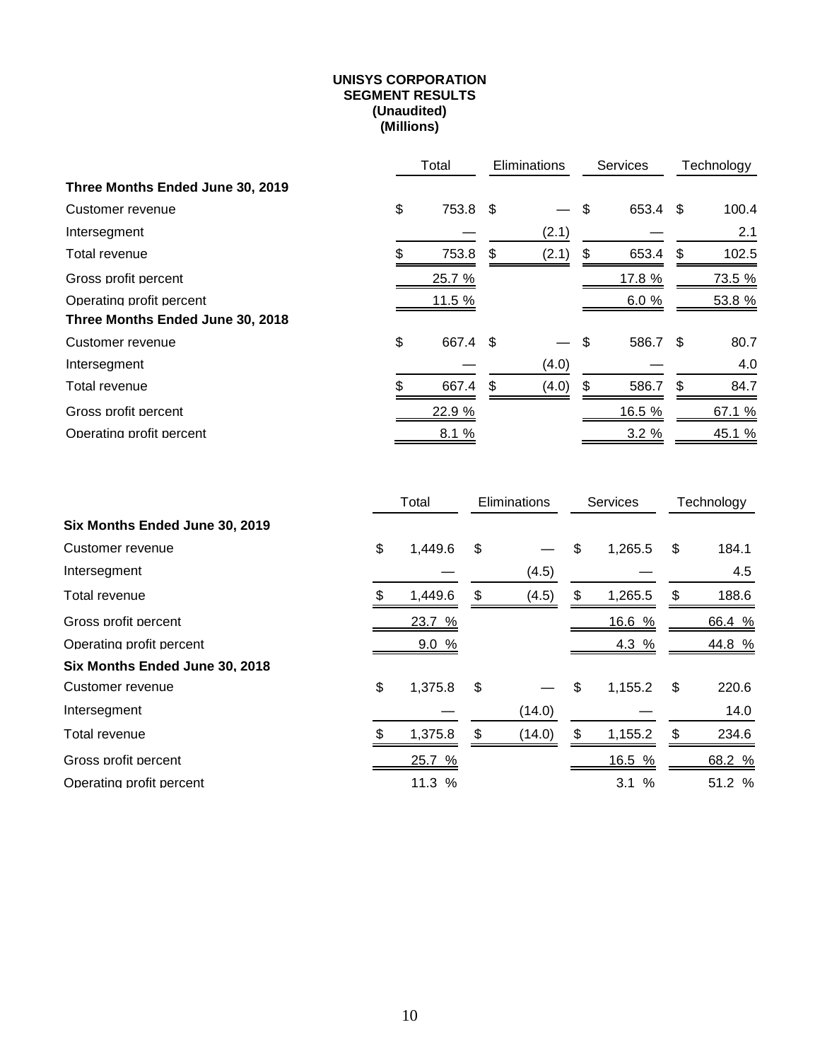#### **UNISYS CORPORATION SEGMENT RESULTS (Unaudited) (Millions)**

|                                  | Total |          | <b>Eliminations</b> |       | <b>Services</b> |          |     | Technology |
|----------------------------------|-------|----------|---------------------|-------|-----------------|----------|-----|------------|
| Three Months Ended June 30, 2019 |       |          |                     |       |                 |          |     |            |
| Customer revenue                 | \$    | 753.8 \$ |                     |       | \$              | 653.4 \$ |     | 100.4      |
| Intersegment                     |       |          |                     | (2.1) |                 |          |     | 2.1        |
| Total revenue                    | \$    | 753.8    | S                   | (2.1) | \$              | 653.4    | \$  | 102.5      |
| Gross profit percent             |       | 25.7 %   |                     |       |                 | 17.8 %   |     | 73.5 %     |
| Operating profit percent         |       | 11.5 %   |                     |       |                 | 6.0%     |     | 53.8 %     |
| Three Months Ended June 30, 2018 |       |          |                     |       |                 |          |     |            |
| Customer revenue                 | \$    | 667.4 \$ |                     |       | \$              | 586.7    | -\$ | 80.7       |
| Intersegment                     |       |          |                     | (4.0) |                 |          |     | 4.0        |
| Total revenue                    | \$.   | 667.4    | \$                  | (4.0) | \$              | 586.7    | \$  | 84.7       |
| Gross profit percent             |       | 22.9 %   |                     |       |                 | 16.5 %   |     | 67.1 %     |
| Operating profit percent         |       | 8.1%     |                     |       |                 | 3.2%     |     | 45.1 %     |

|                                |    | Total   |    | Eliminations | <b>Services</b> | Technology |        |  |
|--------------------------------|----|---------|----|--------------|-----------------|------------|--------|--|
| Six Months Ended June 30, 2019 |    |         |    |              |                 |            |        |  |
| Customer revenue               | \$ | 1,449.6 | \$ |              | \$<br>1,265.5   | \$         | 184.1  |  |
| Intersegment                   |    |         |    | (4.5)        |                 |            | 4.5    |  |
| Total revenue                  |    | 1,449.6 | \$ | (4.5)        | \$<br>1,265.5   | \$         | 188.6  |  |
| Gross profit percent           |    | 23.7 %  |    |              | 16.6 %          |            | 66.4 % |  |
| Operating profit percent       |    | 9.0%    |    |              | 4.3 %           |            | 44.8 % |  |
| Six Months Ended June 30, 2018 |    |         |    |              |                 |            |        |  |
| Customer revenue               | \$ | 1,375.8 | \$ |              | \$<br>1,155.2   | \$         | 220.6  |  |
| Intersegment                   |    |         |    | (14.0)       |                 |            | 14.0   |  |
| Total revenue                  |    | 1,375.8 | \$ | (14.0)       | \$<br>1,155.2   | \$         | 234.6  |  |
| Gross profit percent           |    | 25.7 %  |    |              | 16.5 %          |            | 68.2 % |  |
| Operating profit percent       |    | 11.3 %  |    |              | $\%$<br>3.1     |            | 51.2 % |  |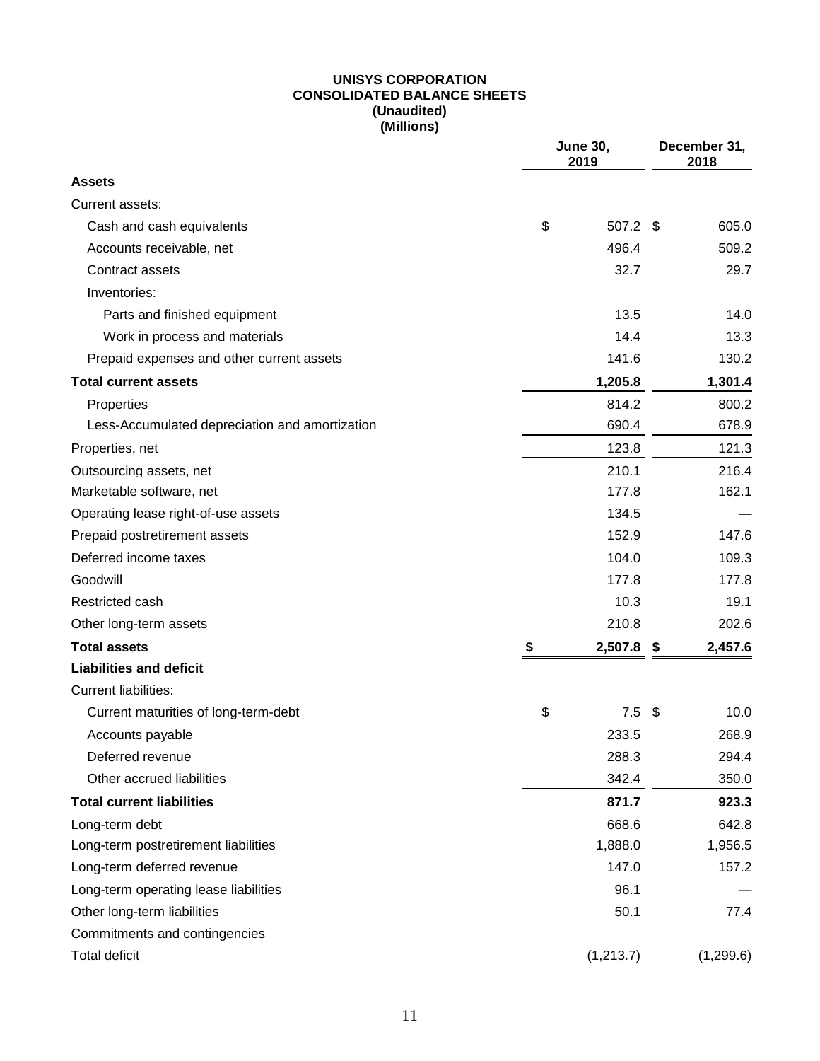#### **UNISYS CORPORATION CONSOLIDATED BALANCE SHEETS (Unaudited) (Millions)**

|                                                | <b>June 30,</b><br>2019 |      |            |  |  |
|------------------------------------------------|-------------------------|------|------------|--|--|
| <b>Assets</b>                                  |                         |      |            |  |  |
| Current assets:                                |                         |      |            |  |  |
| Cash and cash equivalents                      | \$<br>507.2 \$          |      | 605.0      |  |  |
| Accounts receivable, net                       | 496.4                   |      | 509.2      |  |  |
| Contract assets                                | 32.7                    |      | 29.7       |  |  |
| Inventories:                                   |                         |      |            |  |  |
| Parts and finished equipment                   | 13.5                    |      | 14.0       |  |  |
| Work in process and materials                  | 14.4                    |      | 13.3       |  |  |
| Prepaid expenses and other current assets      | 141.6                   |      | 130.2      |  |  |
| <b>Total current assets</b>                    | 1,205.8                 |      | 1,301.4    |  |  |
| Properties                                     | 814.2                   |      | 800.2      |  |  |
| Less-Accumulated depreciation and amortization | 690.4                   |      | 678.9      |  |  |
| Properties, net                                | 123.8                   |      | 121.3      |  |  |
| Outsourcing assets, net                        | 210.1                   |      | 216.4      |  |  |
| Marketable software, net                       | 177.8                   |      | 162.1      |  |  |
| Operating lease right-of-use assets            | 134.5                   |      |            |  |  |
| Prepaid postretirement assets                  | 152.9                   |      | 147.6      |  |  |
| Deferred income taxes                          | 104.0                   |      | 109.3      |  |  |
| Goodwill                                       | 177.8                   |      | 177.8      |  |  |
| Restricted cash                                | 10.3                    |      | 19.1       |  |  |
| Other long-term assets                         | 210.8                   |      | 202.6      |  |  |
| <b>Total assets</b>                            | \$<br>2,507.8           | \$   | 2,457.6    |  |  |
| <b>Liabilities and deficit</b>                 |                         |      |            |  |  |
| <b>Current liabilities:</b>                    |                         |      |            |  |  |
| Current maturities of long-term-debt           | \$<br>7.5               | - \$ | 10.0       |  |  |
| Accounts payable                               | 233.5                   |      | 268.9      |  |  |
| Deferred revenue                               | 288.3                   |      | 294.4      |  |  |
| Other accrued liabilities                      | 342.4                   |      | 350.0      |  |  |
| <b>Total current liabilities</b>               | 871.7                   |      | 923.3      |  |  |
| Long-term debt                                 | 668.6                   |      | 642.8      |  |  |
| Long-term postretirement liabilities           | 1,888.0                 |      | 1,956.5    |  |  |
| Long-term deferred revenue                     | 147.0                   |      | 157.2      |  |  |
| Long-term operating lease liabilities          | 96.1                    |      |            |  |  |
| Other long-term liabilities                    | 50.1                    |      | 77.4       |  |  |
| Commitments and contingencies                  |                         |      |            |  |  |
| <b>Total deficit</b>                           | (1,213.7)               |      | (1, 299.6) |  |  |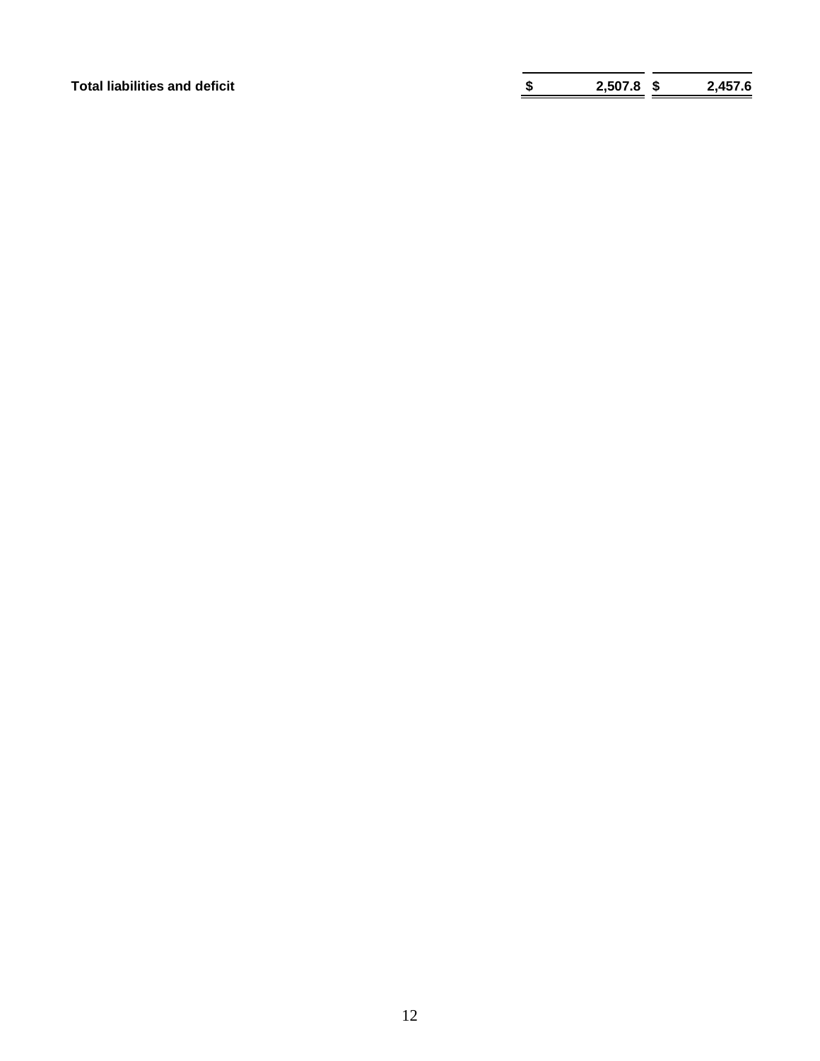**Total liabilities and deficit \$ 2,507.8 \$ 2,457.6**

| \$<br>2,507.8 | 2,457.6 |
|---------------|---------|
|               |         |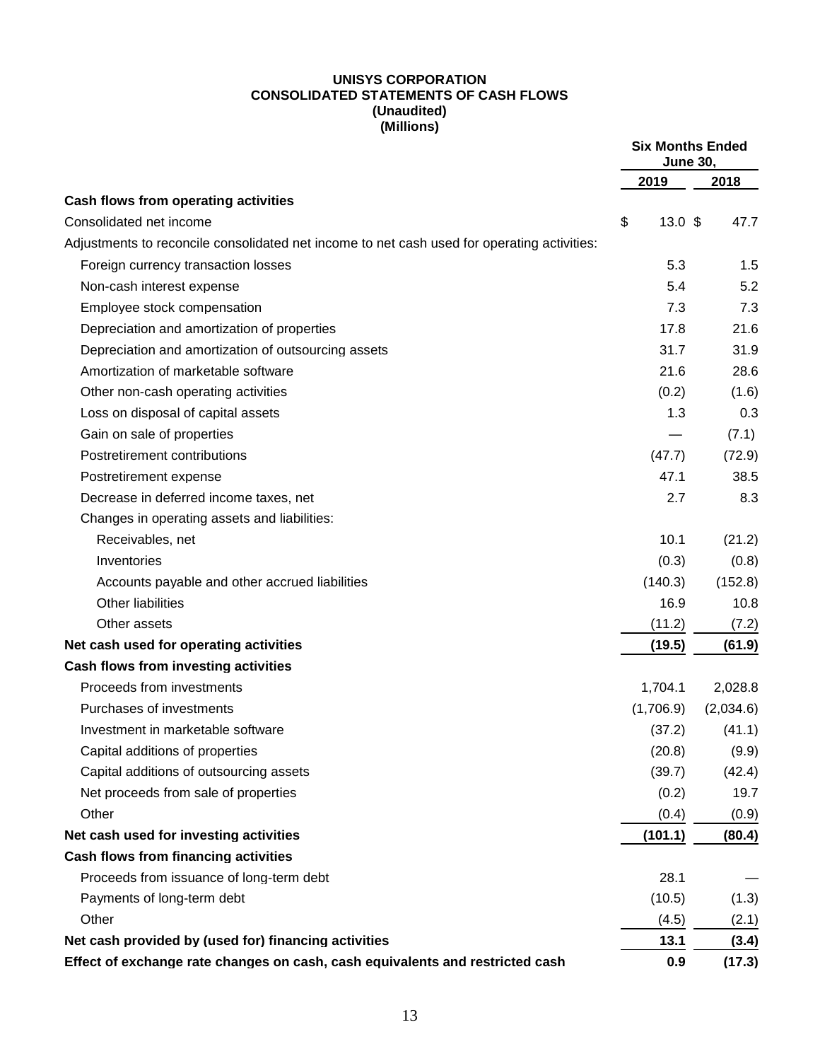#### **UNISYS CORPORATION CONSOLIDATED STATEMENTS OF CASH FLOWS (Unaudited) (Millions)**

|                                                                                             |                         | <b>Six Months Ended</b><br><b>June 30.</b> |
|---------------------------------------------------------------------------------------------|-------------------------|--------------------------------------------|
|                                                                                             | 2019                    | 2018                                       |
| Cash flows from operating activities                                                        |                         |                                            |
| Consolidated net income                                                                     | \$<br>13.0 <sup>5</sup> | 47.7                                       |
| Adjustments to reconcile consolidated net income to net cash used for operating activities: |                         |                                            |
| Foreign currency transaction losses                                                         | 5.3                     | 1.5                                        |
| Non-cash interest expense                                                                   | 5.4                     | 5.2                                        |
| Employee stock compensation                                                                 | 7.3                     | 7.3                                        |
| Depreciation and amortization of properties                                                 | 17.8                    | 21.6                                       |
| Depreciation and amortization of outsourcing assets                                         | 31.7                    | 31.9                                       |
| Amortization of marketable software                                                         | 21.6                    | 28.6                                       |
| Other non-cash operating activities                                                         | (0.2)                   | (1.6)                                      |
| Loss on disposal of capital assets                                                          | 1.3                     | 0.3                                        |
| Gain on sale of properties                                                                  |                         | (7.1)                                      |
| Postretirement contributions                                                                | (47.7)                  | (72.9)                                     |
| Postretirement expense                                                                      | 47.1                    | 38.5                                       |
| Decrease in deferred income taxes, net                                                      | 2.7                     | 8.3                                        |
| Changes in operating assets and liabilities:                                                |                         |                                            |
| Receivables, net                                                                            | 10.1                    | (21.2)                                     |
| Inventories                                                                                 | (0.3)                   | (0.8)                                      |
| Accounts payable and other accrued liabilities                                              | (140.3)                 | (152.8)                                    |
| Other liabilities                                                                           | 16.9                    | 10.8                                       |
| Other assets                                                                                | (11.2)                  | (7.2)                                      |
| Net cash used for operating activities                                                      | (19.5)                  | (61.9)                                     |
| <b>Cash flows from investing activities</b>                                                 |                         |                                            |
| Proceeds from investments                                                                   | 1,704.1                 | 2,028.8                                    |
| Purchases of investments                                                                    | (1,706.9)               | (2,034.6)                                  |
| Investment in marketable software                                                           | (37.2)                  | (41.1)                                     |
| Capital additions of properties                                                             | (20.8)                  | (9.9)                                      |
| Capital additions of outsourcing assets                                                     | (39.7)                  | (42.4)                                     |
| Net proceeds from sale of properties                                                        | (0.2)                   | 19.7                                       |
| Other                                                                                       | (0.4)                   | (0.9)                                      |
| Net cash used for investing activities                                                      | (101.1)                 | (80.4)                                     |
| <b>Cash flows from financing activities</b>                                                 |                         |                                            |
| Proceeds from issuance of long-term debt                                                    | 28.1                    |                                            |
| Payments of long-term debt                                                                  | (10.5)                  | (1.3)                                      |
| Other                                                                                       | (4.5)                   | (2.1)                                      |
| Net cash provided by (used for) financing activities                                        | 13.1                    | (3.4)                                      |
| Effect of exchange rate changes on cash, cash equivalents and restricted cash               | 0.9                     | (17.3)                                     |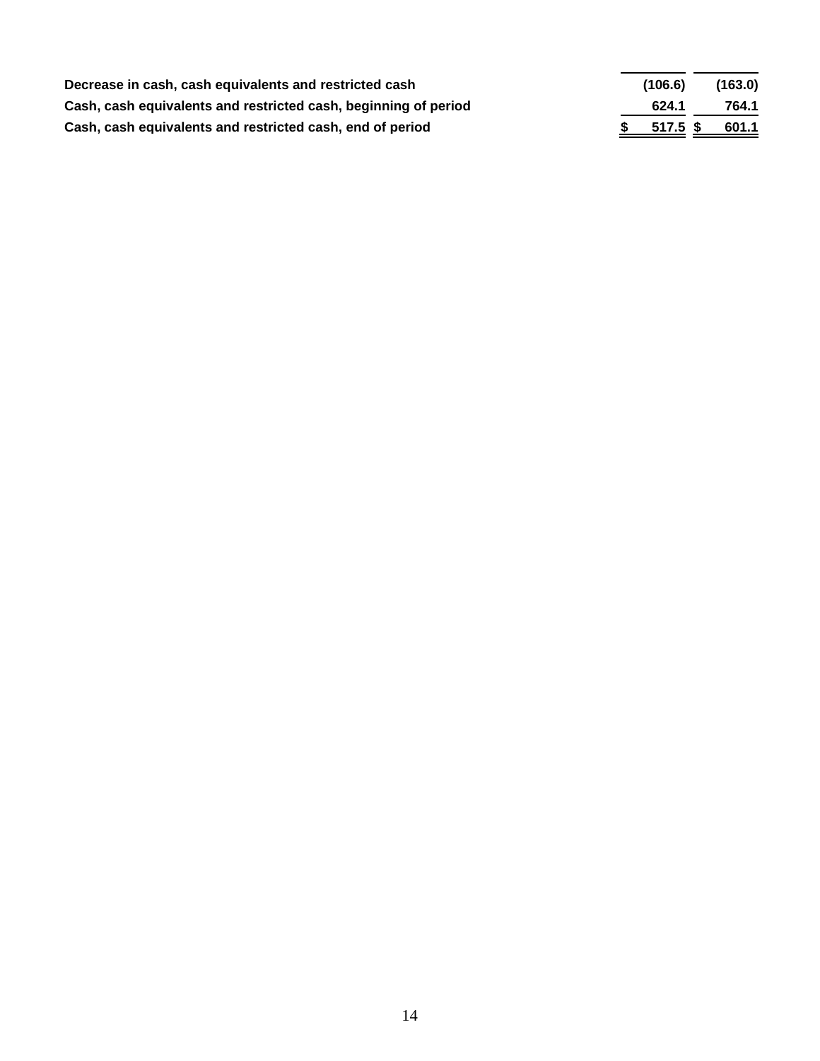| Decrease in cash, cash equivalents and restricted cash          | (106.6)  | (163.0) |
|-----------------------------------------------------------------|----------|---------|
| Cash, cash equivalents and restricted cash, beginning of period | 624.1    | 764.1   |
| Cash, cash equivalents and restricted cash, end of period       | 517.5 \$ | 601.1   |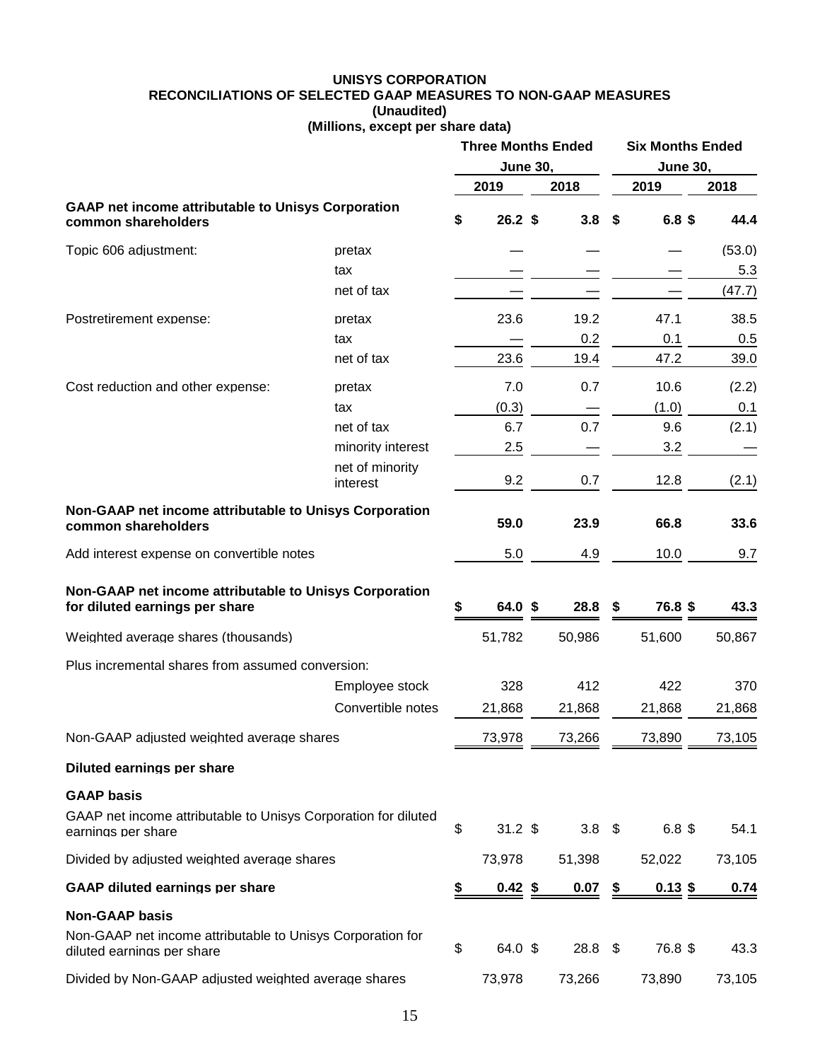#### **UNISYS CORPORATION RECONCILIATIONS OF SELECTED GAAP MEASURES TO NON-GAAP MEASURES (Unaudited) (Millions, except per share data)**

|                                                                                          |                             | <b>Three Months Ended</b><br><b>June 30,</b> |                    |  | <b>Six Months Ended</b><br><b>June 30,</b> |    |                   |  |        |
|------------------------------------------------------------------------------------------|-----------------------------|----------------------------------------------|--------------------|--|--------------------------------------------|----|-------------------|--|--------|
|                                                                                          |                             |                                              | 2019               |  | 2018                                       |    | 2019              |  | 2018   |
| <b>GAAP net income attributable to Unisys Corporation</b><br>common shareholders         |                             | \$                                           | 26.2 <sup>5</sup>  |  | 3.8                                        | \$ | 6.8 <sup>\$</sup> |  | 44.4   |
| Topic 606 adiustment:                                                                    | pretax                      |                                              |                    |  |                                            |    |                   |  | (53.0) |
|                                                                                          | tax                         |                                              |                    |  |                                            |    |                   |  | 5.3    |
|                                                                                          | net of tax                  |                                              |                    |  |                                            |    |                   |  | (47.7) |
| Postretirement expense:                                                                  | pretax                      |                                              | 23.6               |  | 19.2                                       |    | 47.1              |  | 38.5   |
|                                                                                          | tax                         |                                              |                    |  | 0.2                                        |    | 0.1               |  | 0.5    |
|                                                                                          | net of tax                  |                                              | 23.6               |  | 19.4                                       |    | 47.2              |  | 39.0   |
| Cost reduction and other expense:                                                        | pretax                      |                                              | 7.0                |  | 0.7                                        |    | 10.6              |  | (2.2)  |
|                                                                                          | tax                         |                                              | (0.3)              |  |                                            |    | (1.0)             |  | 0.1    |
|                                                                                          | net of tax                  |                                              | 6.7                |  | 0.7                                        |    | 9.6               |  | (2.1)  |
|                                                                                          | minority interest           |                                              | 2.5                |  |                                            |    | 3.2               |  |        |
|                                                                                          | net of minority<br>interest |                                              | 9.2                |  | 0.7                                        |    | 12.8              |  | (2.1)  |
| Non-GAAP net income attributable to Unisys Corporation<br>common shareholders            |                             |                                              | 59.0               |  | 23.9                                       |    | 66.8              |  | 33.6   |
| Add interest expense on convertible notes                                                |                             |                                              | 5.0                |  | 4.9                                        |    | 10.0              |  | 9.7    |
| Non-GAAP net income attributable to Unisys Corporation<br>for diluted earnings per share |                             | \$                                           | 64.0 \$            |  | 28.8                                       | S  | 76.8 \$           |  | 43.3   |
| Weighted average shares (thousands)                                                      |                             |                                              | 51,782             |  | 50,986                                     |    | 51,600            |  | 50,867 |
| Plus incremental shares from assumed conversion:                                         |                             |                                              |                    |  |                                            |    |                   |  |        |
|                                                                                          | Employee stock              |                                              | 328                |  | 412                                        |    | 422               |  | 370    |
|                                                                                          | Convertible notes           |                                              | 21,868             |  | 21,868                                     |    | 21,868            |  | 21,868 |
| Non-GAAP adjusted weighted average shares                                                |                             |                                              | 73,978             |  | 73,266                                     |    | 73,890            |  | 73,105 |
| Diluted earnings per share                                                               |                             |                                              |                    |  |                                            |    |                   |  |        |
| <b>GAAP basis</b>                                                                        |                             |                                              |                    |  |                                            |    |                   |  |        |
| GAAP net income attributable to Unisys Corporation for diluted<br>earnings per share     |                             | \$                                           | $31.2$ \$          |  | $3.8 \quad $$                              |    | 6.8~\$            |  | 54.1   |
| Divided by adjusted weighted average shares                                              |                             |                                              | 73,978             |  | 51,398                                     |    | 52,022            |  | 73,105 |
| <b>GAAP diluted earnings per share</b>                                                   |                             | \$                                           | $0.42 \text{ }$ \$ |  | 0.07                                       | \$ | $0.13$ \$         |  | 0.74   |
| <b>Non-GAAP basis</b>                                                                    |                             |                                              |                    |  |                                            |    |                   |  |        |
| Non-GAAP net income attributable to Unisys Corporation for<br>diluted earnings per share |                             | \$                                           | 64.0 \$            |  | $28.8\quad$                                |    | 76.8 \$           |  | 43.3   |
| Divided by Non-GAAP adjusted weighted average shares                                     |                             |                                              | 73,978             |  | 73,266                                     |    | 73,890            |  | 73,105 |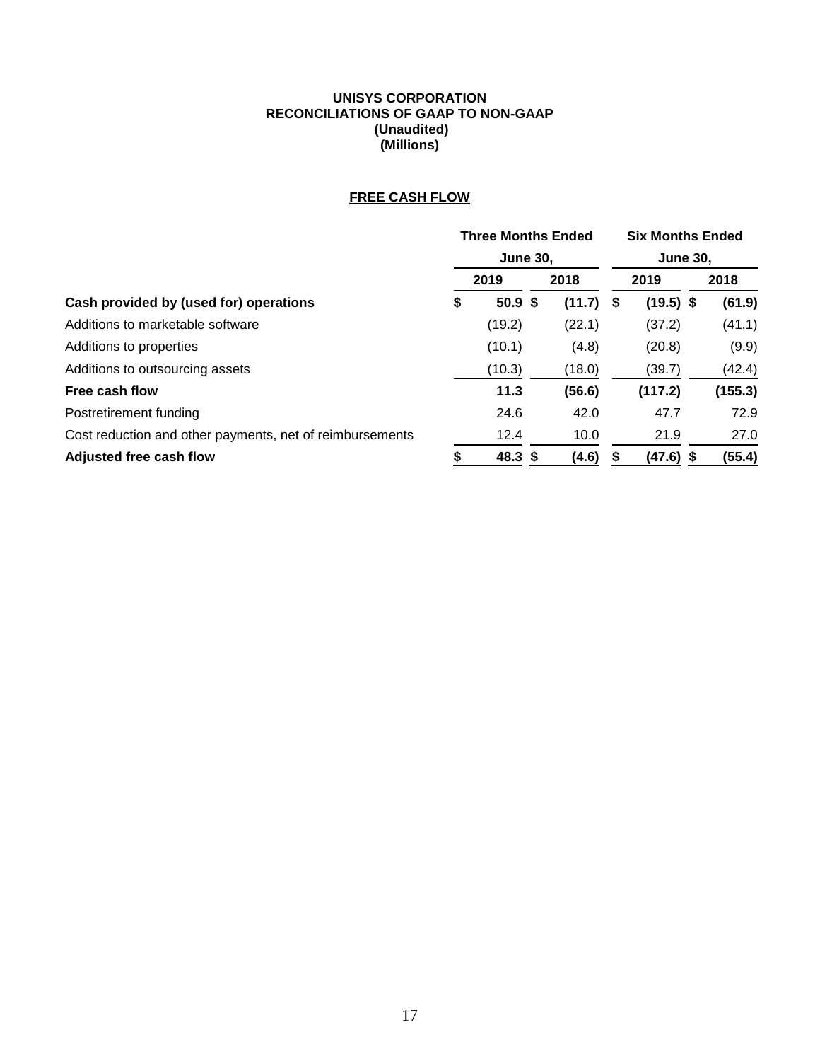#### **UNISYS CORPORATION RECONCILIATIONS OF GAAP TO NON-GAAP (Unaudited) (Millions)**

## **FREE CASH FLOW**

|                                                          | <b>Three Months Ended</b> |                   |  |        |                 | <b>Six Months Ended</b> |  |         |  |  |
|----------------------------------------------------------|---------------------------|-------------------|--|--------|-----------------|-------------------------|--|---------|--|--|
|                                                          |                           | <b>June 30,</b>   |  |        | <b>June 30,</b> |                         |  |         |  |  |
|                                                          |                           | 2019              |  | 2018   |                 | 2019                    |  | 2018    |  |  |
| Cash provided by (used for) operations                   | \$                        | 50.9 <sup>5</sup> |  | (11.7) | S               | $(19.5)$ \$             |  | (61.9)  |  |  |
| Additions to marketable software                         |                           | (19.2)            |  | (22.1) |                 | (37.2)                  |  | (41.1)  |  |  |
| Additions to properties                                  |                           | (10.1)            |  | (4.8)  |                 | (20.8)                  |  | (9.9)   |  |  |
| Additions to outsourcing assets                          |                           | (10.3)            |  | (18.0) |                 | (39.7)                  |  | (42.4)  |  |  |
| Free cash flow                                           |                           | 11.3              |  | (56.6) |                 | (117.2)                 |  | (155.3) |  |  |
| Postretirement funding                                   |                           | 24.6              |  | 42.0   |                 | 47.7                    |  | 72.9    |  |  |
| Cost reduction and other payments, net of reimbursements |                           | 12.4              |  | 10.0   |                 | 21.9                    |  | 27.0    |  |  |
| Adjusted free cash flow                                  |                           | 48.3 \$           |  | (4.6)  |                 | $(47.6)$ \$             |  | (55.4)  |  |  |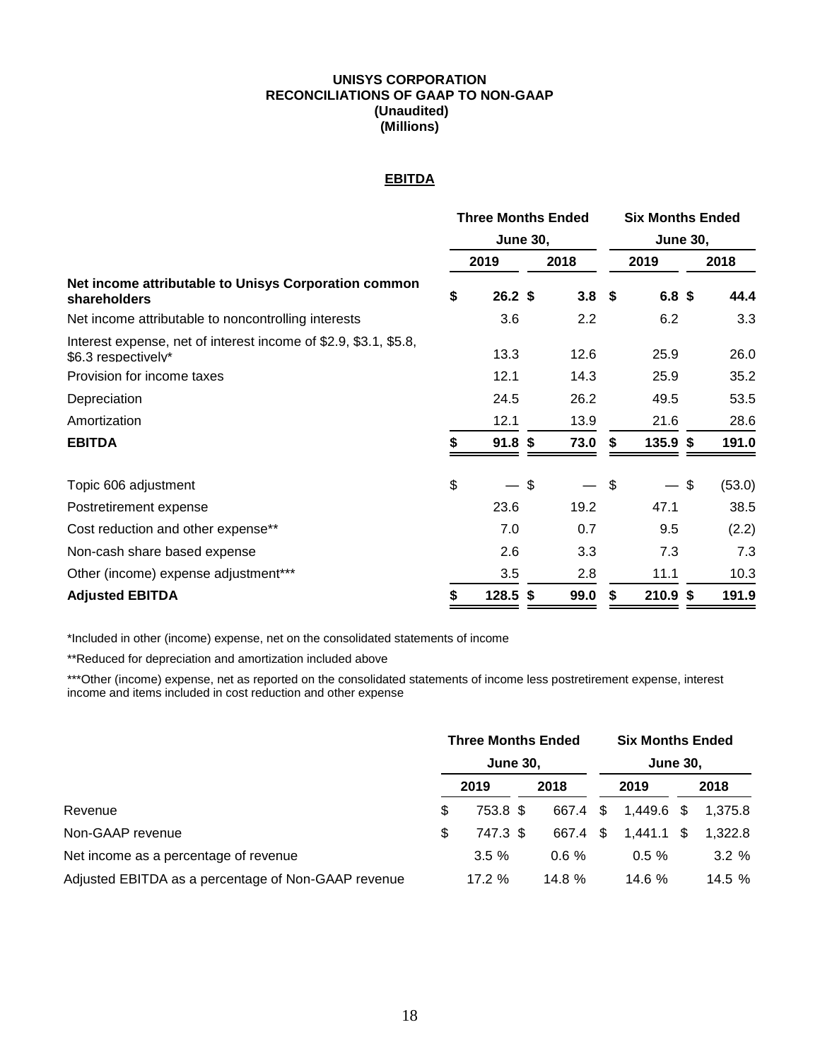#### **UNISYS CORPORATION RECONCILIATIONS OF GAAP TO NON-GAAP (Unaudited) (Millions)**

#### **EBITDA**

|                                                                                         | <b>Three Months Ended</b> |                   |                 |                  | <b>Six Months Ended</b> |                  |    |        |  |  |
|-----------------------------------------------------------------------------------------|---------------------------|-------------------|-----------------|------------------|-------------------------|------------------|----|--------|--|--|
|                                                                                         |                           |                   | <b>June 30,</b> |                  |                         | <b>June 30,</b>  |    |        |  |  |
|                                                                                         |                           | 2019              |                 | 2018             |                         | 2019             |    | 2018   |  |  |
| Net income attributable to Unisys Corporation common<br><b>shareholders</b>             | \$                        | $26.2$ \$         |                 | 3.8 <sup>5</sup> |                         | 6.8 <sup>5</sup> |    | 44.4   |  |  |
| Net income attributable to noncontrolling interests                                     |                           | 3.6               |                 | 2.2              |                         | 6.2              |    | 3.3    |  |  |
| Interest expense, net of interest income of \$2.9, \$3.1, \$5.8,<br>\$6.3 respectively* |                           | 13.3              |                 | 12.6             |                         | 25.9             |    | 26.0   |  |  |
| Provision for income taxes                                                              |                           | 12.1              |                 | 14.3             |                         | 25.9             |    | 35.2   |  |  |
| Depreciation                                                                            |                           | 24.5              |                 | 26.2             |                         | 49.5             |    | 53.5   |  |  |
| Amortization                                                                            |                           | 12.1              |                 | 13.9             |                         | 21.6             |    | 28.6   |  |  |
| <b>EBITDA</b>                                                                           |                           | 91.8 <sup>5</sup> |                 | 73.0             | S.                      | $135.9$ \$       |    | 191.0  |  |  |
| Topic 606 adjustment                                                                    | \$                        |                   | \$              |                  | \$                      |                  | \$ | (53.0) |  |  |
| Postretirement expense                                                                  |                           | 23.6              |                 | 19.2             |                         | 47.1             |    | 38.5   |  |  |
| Cost reduction and other expense**                                                      |                           | 7.0               |                 | 0.7              |                         | 9.5              |    | (2.2)  |  |  |
| Non-cash share based expense                                                            |                           | 2.6               |                 | 3.3              |                         | 7.3              |    | 7.3    |  |  |
| Other (income) expense adjustment***                                                    |                           | 3.5               |                 | 2.8              |                         | 11.1             |    | 10.3   |  |  |
| <b>Adjusted EBITDA</b>                                                                  | \$                        | $128.5$ \$        |                 | 99.0             | \$                      | $210.9$ \$       |    | 191.9  |  |  |

\*Included in other (income) expense, net on the consolidated statements of income

\*\*Reduced for depreciation and amortization included above

\*\*\*Other (income) expense, net as reported on the consolidated statements of income less postretirement expense, interest income and items included in cost reduction and other expense

|                                                     | <b>Three Months Ended</b> |          |  | <b>Six Months Ended</b> |                 |            |  |         |  |
|-----------------------------------------------------|---------------------------|----------|--|-------------------------|-----------------|------------|--|---------|--|
|                                                     | <b>June 30,</b>           |          |  |                         | <b>June 30,</b> |            |  |         |  |
|                                                     |                           | 2019     |  | 2018                    |                 | 2019       |  | 2018    |  |
| Revenue                                             | \$                        | 753.8 \$ |  | 667.4 \$                |                 | 1,449.6 \$ |  | 1.375.8 |  |
| Non-GAAP revenue                                    | S                         | 747.3 \$ |  | 667.4 \$                |                 | 1.441.1 \$ |  | 1,322.8 |  |
| Net income as a percentage of revenue               |                           | $3.5 \%$ |  | $0.6 \%$                |                 | $0.5 \%$   |  | 3.2%    |  |
| Adjusted EBITDA as a percentage of Non-GAAP revenue |                           | 17.2%    |  | 14.8%                   |                 | 14.6 $%$   |  | 14.5 %  |  |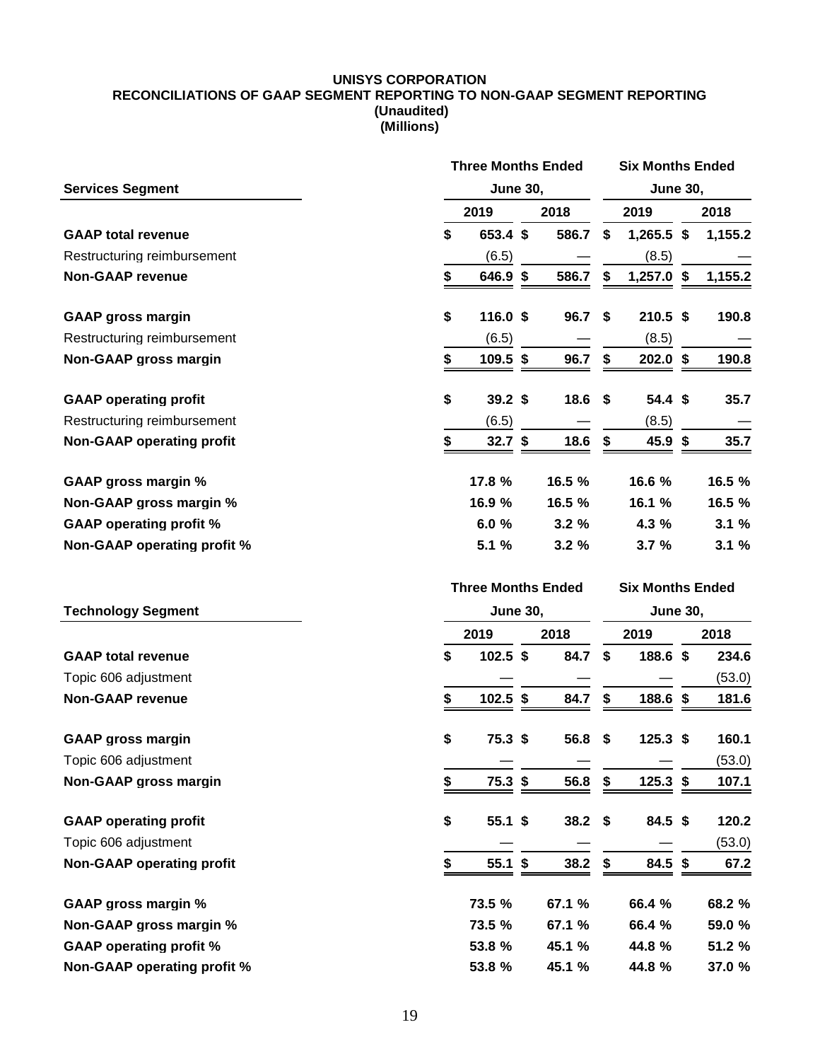#### **UNISYS CORPORATION RECONCILIATIONS OF GAAP SEGMENT REPORTING TO NON-GAAP SEGMENT REPORTING (Unaudited) (Millions)**

|                                  | <b>Three Months Ended</b> |  |           |      | <b>Six Months Ended</b> |    |         |  |  |
|----------------------------------|---------------------------|--|-----------|------|-------------------------|----|---------|--|--|
| <b>Services Segment</b>          | <b>June 30,</b>           |  |           |      | <b>June 30,</b>         |    |         |  |  |
|                                  | 2019                      |  | 2018      |      | 2019                    |    | 2018    |  |  |
| <b>GAAP total revenue</b>        | \$<br>653.4 \$            |  | 586.7     | \$   | $1,265.5$ \$            |    | 1,155.2 |  |  |
| Restructuring reimbursement      | (6.5)                     |  |           |      | (8.5)                   |    |         |  |  |
| <b>Non-GAAP revenue</b>          | \$<br>646.9 \$            |  | 586.7     | \$   | $1,257.0$ \$            |    | 1,155.2 |  |  |
| <b>GAAP gross margin</b>         | \$<br>116.0 \$            |  | 96.7      | \$   | $210.5$ \$              |    | 190.8   |  |  |
| Restructuring reimbursement      | (6.5)                     |  |           |      | (8.5)                   |    |         |  |  |
| Non-GAAP gross margin            | \$<br>109.5 \$            |  | 96.7      | \$   | $202.0$ \$              |    | 190.8   |  |  |
| <b>GAAP operating profit</b>     | \$<br>39.2 <sup>5</sup>   |  | 18.6      | \$   | 54.4 <sup>5</sup>       |    | 35.7    |  |  |
| Restructuring reimbursement      | (6.5)                     |  |           |      | (8.5)                   |    |         |  |  |
| <b>Non-GAAP operating profit</b> | \$<br>32.7 <sup>5</sup>   |  | 18.6      | \$   | 45.9 \$                 |    | 35.7    |  |  |
| <b>GAAP gross margin %</b>       | 17.8 %                    |  | 16.5 %    |      | 16.6 %                  |    | 16.5 %  |  |  |
| Non-GAAP gross margin %          | 16.9 %                    |  | 16.5 %    |      | 16.1 %                  |    | 16.5 %  |  |  |
| <b>GAAP operating profit %</b>   | 6.0%                      |  | 3.2%      |      | 4.3 %                   |    | 3.1%    |  |  |
| Non-GAAP operating profit %      | 5.1 %                     |  | 3.2%      |      | 3.7%                    |    | 3.1%    |  |  |
|                                  | <b>Three Months Ended</b> |  |           |      | <b>Six Months Ended</b> |    |         |  |  |
| <b>Technology Segment</b>        | <b>June 30,</b>           |  |           |      | <b>June 30,</b>         |    |         |  |  |
|                                  | 2019<br>2018              |  |           | 2019 |                         |    | 2018    |  |  |
| <b>GAAP total revenue</b>        | \$<br>$102.5$ \$          |  | 84.7      | \$   | 188.6 \$                |    | 234.6   |  |  |
| Topic 606 adjustment             |                           |  |           |      |                         |    | (53.0)  |  |  |
| <b>Non-GAAP revenue</b>          | \$<br>$102.5$ \$          |  | 84.7      | \$   | 188.6 \$                |    | 181.6   |  |  |
| <b>GAAP gross margin</b>         | \$<br>75.3 <sup>5</sup>   |  | 56.8      | \$   | $125.3$ \$              |    | 160.1   |  |  |
| Topic 606 adjustment             |                           |  |           |      |                         |    | (53.0)  |  |  |
| Non-GAAP gross margin            | \$<br>75.3 <sup>5</sup>   |  | 56.8      | \$   | 125.3                   | \$ | 107.1   |  |  |
| <b>GAAP operating profit</b>     | \$<br>55.1 \$             |  | $38.2$ \$ |      | 84.5 \$                 |    | 120.2   |  |  |
| Topic 606 adjustment             |                           |  |           |      |                         |    | (53.0)  |  |  |
| <b>Non-GAAP operating profit</b> | \$<br>55.1 \$             |  | 38.2      | \$   | 84.5 \$                 |    | 67.2    |  |  |
| <b>GAAP gross margin %</b>       | 73.5 %                    |  | 67.1 %    |      | 66.4 %                  |    | 68.2 %  |  |  |
| Non-GAAP gross margin %          | 73.5 %                    |  | 67.1 %    |      | 66.4 %                  |    | 59.0 %  |  |  |
| <b>GAAP operating profit %</b>   |                           |  |           |      |                         |    |         |  |  |
|                                  | 53.8 %                    |  | 45.1 %    |      | 44.8 %                  |    | 51.2 %  |  |  |